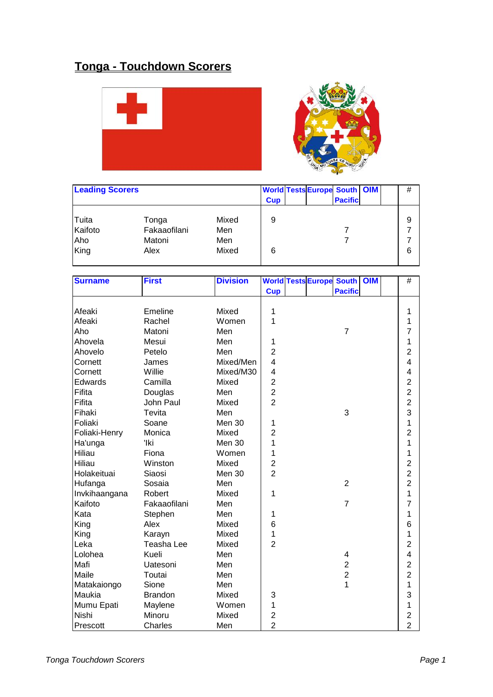## **Tonga - Touchdown Scorers**





| <b>Leading Scorers</b> |              |       | <b>Cup</b> | <b>World Tests Europe South OIM</b> | <b>Pacific</b> | # |
|------------------------|--------------|-------|------------|-------------------------------------|----------------|---|
| Tuita                  | Tonga        | Mixed | 9          |                                     |                | 9 |
| Kaifoto                | Fakaaofilani | Men   |            |                                     |                | ⇁ |
| Aho                    | Matoni       | Men   |            |                                     |                |   |
| King                   | Alex         | Mixed | 6          |                                     |                | 6 |

| <b>Surname</b> | <b>First</b>   | <b>Division</b> |                         | <b>World Tests Europe South</b> |                | <b>OIM</b> | $\#$                    |
|----------------|----------------|-----------------|-------------------------|---------------------------------|----------------|------------|-------------------------|
|                |                |                 | <b>Cup</b>              |                                 | <b>Pacific</b> |            |                         |
|                |                |                 |                         |                                 |                |            |                         |
| Afeaki         | Emeline        | Mixed           | 1                       |                                 |                |            | 1                       |
| Afeaki         | Rachel         | Women           | 1                       |                                 |                |            | 1                       |
| Aho            | Matoni         | Men             |                         |                                 | $\overline{7}$ |            | 7                       |
| Ahovela        | Mesui          | Men             | 1                       |                                 |                |            | 1                       |
| Ahovelo        | Petelo         | Men             | $\overline{2}$          |                                 |                |            | $\overline{2}$          |
| Cornett        | James          | Mixed/Men       | $\overline{\mathbf{4}}$ |                                 |                |            | $\overline{\mathbf{4}}$ |
| Cornett        | Willie         | Mixed/M30       | $\overline{\mathbf{4}}$ |                                 |                |            | $\overline{\mathbf{4}}$ |
| Edwards        | Camilla        | Mixed           | $\overline{c}$          |                                 |                |            | $\overline{c}$          |
| Fifita         | Douglas        | Men             | $\overline{2}$          |                                 |                |            | $\overline{c}$          |
| Fifita         | John Paul      | Mixed           | $\overline{2}$          |                                 |                |            | $\overline{2}$          |
| Fihaki         | Tevita         | Men             |                         |                                 | 3              |            | 3                       |
| Foliaki        | Soane          | Men 30          | 1                       |                                 |                |            | 1                       |
| Foliaki-Henry  | Monica         | Mixed           | $\overline{c}$          |                                 |                |            | $\overline{2}$          |
| Ha'unga        | 'Iki           | Men 30          | 1                       |                                 |                |            | 1                       |
| Hiliau         | Fiona          | Women           | 1                       |                                 |                |            | 1                       |
| Hiliau         | Winston        | Mixed           | $\overline{c}$          |                                 |                |            | $\overline{2}$          |
| Holakeituai    | Siaosi         | Men 30          | $\overline{2}$          |                                 |                |            | $\overline{c}$          |
| Hufanga        | Sosaia         | Men             |                         |                                 | $\overline{2}$ |            | $\overline{2}$          |
| Invkihaangana  | Robert         | Mixed           | 1                       |                                 |                |            | 1                       |
| Kaifoto        | Fakaaofilani   | Men             |                         |                                 | $\overline{7}$ |            | $\overline{7}$          |
| Kata           | Stephen        | Men             | 1                       |                                 |                |            | 1                       |
| King           | Alex           | Mixed           | 6                       |                                 |                |            | 6                       |
| King           | Karayn         | Mixed           | 1                       |                                 |                |            | 1                       |
| Leka           | Teasha Lee     | Mixed           | $\overline{2}$          |                                 |                |            | $\overline{2}$          |
| Lolohea        | Kueli          | Men             |                         |                                 | 4              |            | $\overline{\mathbf{4}}$ |
| Mafi           | Uatesoni       | Men             |                         |                                 | $\overline{c}$ |            | $\overline{c}$          |
| Maile          | Toutai         | Men             |                         |                                 | $\overline{2}$ |            | $\overline{2}$          |
| Matakaiongo    | Sione          | Men             |                         |                                 | $\overline{1}$ |            | 1                       |
| Maukia         | <b>Brandon</b> | Mixed           | 3                       |                                 |                |            | 3                       |
| Mumu Epati     | Maylene        | Women           | 1                       |                                 |                |            | 1                       |
| Nishi          | Minoru         | Mixed           | $\overline{\mathbf{c}}$ |                                 |                |            | $\overline{\mathbf{c}}$ |
| Prescott       | Charles        | Men             | $\overline{2}$          |                                 |                |            | $\overline{2}$          |